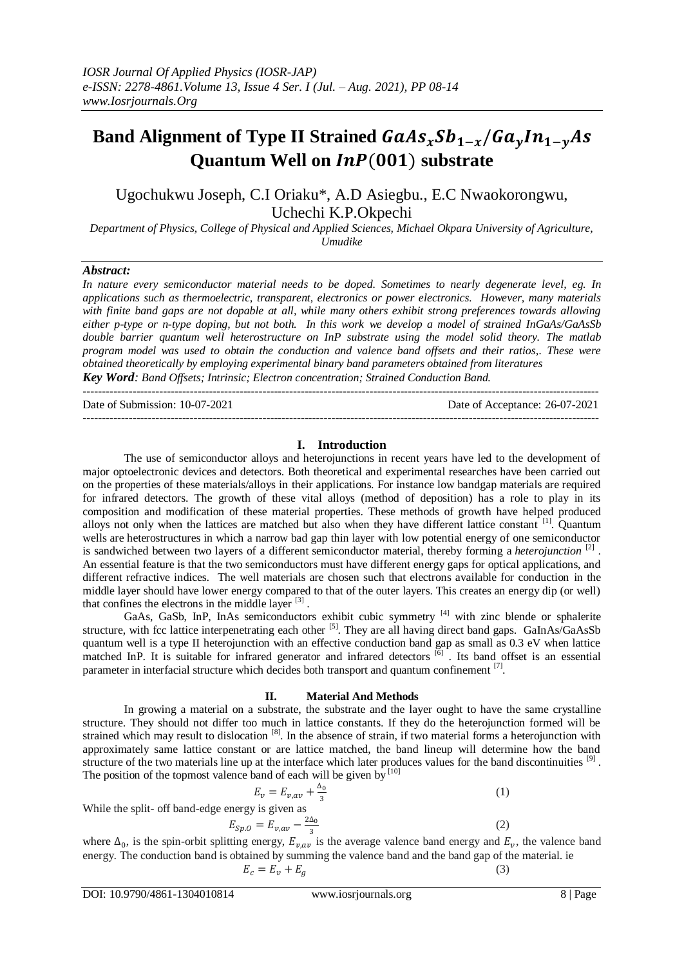# **Band Alignment of Type II Strained**  $GaAs_xSb_{1-x}/Ga_yIn_{1-y}As$ **Quantum Well on InP(001) substrate**

Ugochukwu Joseph, C.I Oriaku\*, A.D Asiegbu., E.C Nwaokorongwu, Uchechi K.P.Okpechi

*Department of Physics, College of Physical and Applied Sciences, Michael Okpara University of Agriculture, Umudike*

#### *Abstract:*

*In nature every semiconductor material needs to be doped. Sometimes to nearly degenerate level, eg. In applications such as thermoelectric, transparent, electronics or power electronics. However, many materials with finite band gaps are not dopable at all, while many others exhibit strong preferences towards allowing either p-type or n-type doping, but not both. In this work we develop a model of strained InGaAs/GaAsSb double barrier quantum well heterostructure on InP substrate using the model solid theory. The matlab program model was used to obtain the conduction and valence band offsets and their ratios,. These were obtained theoretically by employing experimental binary band parameters obtained from literatures Key Word: Band Offsets; Intrinsic; Electron concentration; Strained Conduction Band.*

---------------------------------------------------------------------------------------------------------------------------------------

Date of Submission: 10-07-2021 Date of Acceptance: 26-07-2021

---------------------------------------------------------------------------------------------------------------------------------------

## **I. Introduction**

The use of semiconductor alloys and heterojunctions in recent years have led to the development of major optoelectronic devices and detectors. Both theoretical and experimental researches have been carried out on the properties of these materials/alloys in their applications. For instance low bandgap materials are required for infrared detectors. The growth of these vital alloys (method of deposition) has a role to play in its composition and modification of these material properties. These methods of growth have helped produced alloys not only when the lattices are matched but also when they have different lattice constant <sup>[1]</sup>. Quantum wells are heterostructures in which a narrow bad gap thin layer with low potential energy of one semiconductor is sandwiched between two layers of a different [semiconductor material,](https://www.sciencedirect.com/topics/physics-and-astronomy/semiconductors-materials) thereby forming a *heterojunction*<sup>[2]</sup>. An essential feature is that the two semiconductors must have different energy gaps for optical applications, and different refractive indices. The well materials are chosen such that electrons available for conduction in the middle layer should have lower energy compared to that of the outer layers. This creates an energy dip (or well) that confines the electrons in the middle layer  $[3]$ .

GaAs, GaSb, InP, InAs semiconductors exhibit cubic symmetry <sup>[4]</sup> with zinc blende or sphalerite structure, with fcc lattice interpenetrating each other [5]. They are all having direct band gaps. GaInAs/GaAsSb quantum well is a type II heterojunction with an effective conduction band gap as small as 0.3 eV when lattice matched InP. It is suitable for infrared generator and infrared detectors  $\left[6\right]$ . Its band offset is an essential parameter in interfacial structure which decides both transport and quantum confinement  $^{[7]}$ .

## **II. Material And Methods**

In growing a material on a substrate, the substrate and the layer ought to have the same crystalline structure. They should not differ too much in lattice constants. If they do the heterojunction formed will be strained which may result to dislocation  $[8]$ . In the absence of strain, if two material forms a heterojunction with approximately same lattice constant or are lattice matched, the band lineup will determine how the band structure of the two materials line up at the interface which later produces values for the band discontinuities [9]. The position of the topmost valence band of each will be given by  $[10]$ 

$$
E_v = E_{v,av} + \frac{\Delta_0}{3} \tag{1}
$$

While the split- off band-edge energy is given as

$$
E_{Sp.O}=E_{v,av}-\frac{2\Delta_0}{3}
$$

where  $\Delta_0$ , is the spin-orbit splitting energy,  $E_{v,av}$  is the average valence band energy and  $E_v$ , the valence band energy. The conduction band is obtained by summing the valence band and the band gap of the material. ie  $E_c = E_v + E_g$  (3)

(2)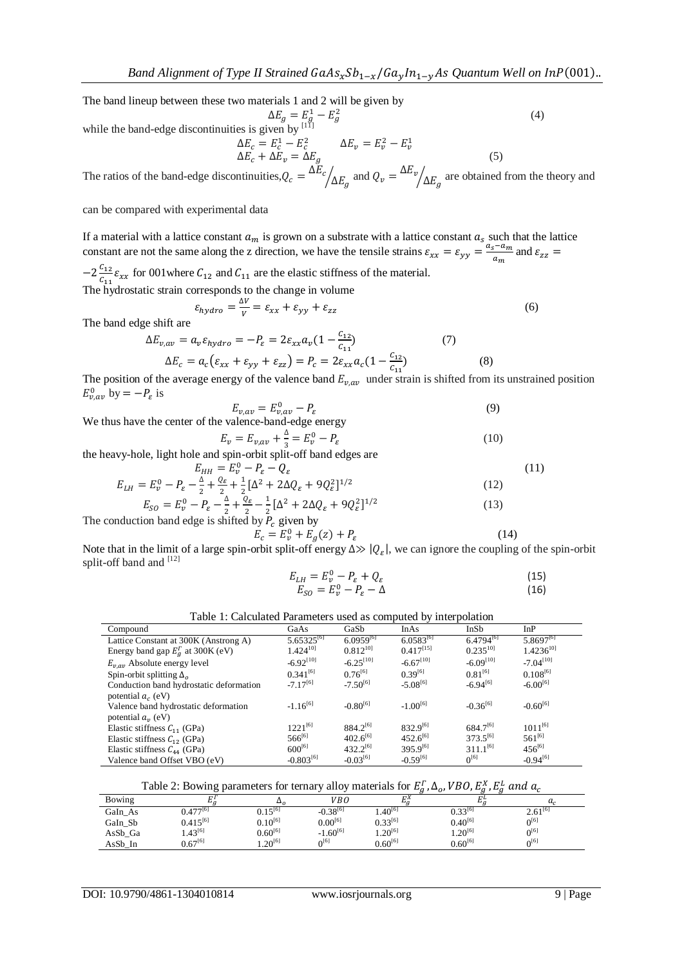The band lineup between these two materials 1 and 2 will be given by  $\Delta E_a = E_a^1 - E_a^2$ 

while the band-edge discontinuities is given by  $[11]$ 

$$
\Delta E_c = E_c^1 - E_c^2 \qquad \Delta E_v = E_v^2 - E_v^1
$$
  
\n
$$
\Delta E_c + \Delta E_v = \Delta E_g \qquad \Delta E_v = E_v^2 - E_v^1 \qquad (5)
$$

(4)

(11)

The ratios of the band-edge discontinuities,  $Q_c = \Delta$  $\mathbb{Z}/_{\Delta E_g}$  and  $Q_v = \frac{\Delta E_v}{\Delta E_g}$  $\sqrt{2}E_a$  are obtained from the theory and

can be compared with experimental data

If a material with a lattice constant  $a_m$  is grown on a substrate with a lattice constant  $a_s$  such that the lattice constant are not the same along the z direction, we have the tensile strains  $\varepsilon_{xx} = \varepsilon_{yy} = \frac{a}{x}$  $rac{a_m}{a_m}$  and

 $-2\frac{c}{c}$  $\frac{c_{12}}{c_{11}}\varepsilon_{xx}$  for 001 where  $C_{12}$  and  $C_{11}$  are the elastic stiffness of the material.

The hydrostatic strain corresponds to the change in volume

$$
\varepsilon_{hydro} = \frac{\Delta V}{V} = \varepsilon_{xx} + \varepsilon_{yy} + \varepsilon_{zz}
$$
\n(6)

The band edge shift are

$$
\Delta E_{v,av} = a_v \varepsilon_{hydro} = -P_{\varepsilon} = 2\varepsilon_{xx} a_v (1 - \frac{c_{12}}{c_{11}})
$$
(7)  

$$
\Delta E_c = a_c (\varepsilon_{xx} + \varepsilon_{yy} + \varepsilon_{zz}) = P_c = 2\varepsilon_{xx} a_c (1 - \frac{c_{12}}{c_{11}})
$$
(8)

The position of the average energy of the valence band  $E_{v,av}$  under strain is shifted from its unstrained position  $E_{\nu,av}^0$  by  $=-P_{\varepsilon}$  is

$$
E_{\nu,av} = E_{\nu,av}^0 - P_{\varepsilon} \tag{9}
$$

We thus have the center of the valence-band-edge energy

$$
E_{\nu} = E_{\nu,av} + \frac{\Delta}{3} = E_{\nu}^0 - P_{\varepsilon}
$$
\n(10)

the heavy-hole, light hole and spin-orbit split-off band edges are

$$
E_{HH} = E_v^0 - P_{\varepsilon} - Q_{\varepsilon}
$$
  
\n
$$
E_{LH} = E_v^0 - P_{\varepsilon} - \frac{\Delta}{2} + \frac{Q_{\varepsilon}}{2} + \frac{1}{2} [\Delta^2 + 2\Delta Q_{\varepsilon} + 9Q_{\varepsilon}^2]^{1/2}
$$
\n(12)

$$
E_{SO} = E_v^0 - P_{\varepsilon} - \frac{4}{2} + \frac{Q_{\varepsilon}}{2} - \frac{1}{2} [\Delta^2 + 2\Delta Q_{\varepsilon} + 9Q_{\varepsilon}^2]^{1/2}
$$
(13)  
The conduction band edge is shifted by  $P_c$  given by  

$$
E_c = E_v^0 + E_c(z) + P_c
$$

$$
C_{c} = E_{v}^{0} + E_{g}(z) + P_{\varepsilon}
$$
 (14)

Note that in the limit of a large spin-orbit split-off energy  $\Delta \gg |Q_{\varepsilon}|$ , we can ignore the coupling of the spin-orbit split-off band and [12]

$$
E_{LH} = E_v^0 - P_{\varepsilon} + Q_{\varepsilon}
$$
  
\n
$$
E_{SO} = E_v^0 - P_{\varepsilon} - \Delta
$$
\n(15)

| Compound                                    | GaAs            | GaSb           | InAs           | InSb           | InP            |
|---------------------------------------------|-----------------|----------------|----------------|----------------|----------------|
| Lattice Constant at 300K (Anstrong A)       | $5.65325^{[6]}$ | $6.0959^{[6]}$ | $6.0583^{[6]}$ | $6.4794^{[6]}$ | $5.8697^{[6]}$ |
| Energy band gap $E_q^{\Gamma}$ at 300K (eV) | $1.424^{10}$    | $0.812^{10}$   | $0.417^{[15]}$ | $0.235^{10}$   | $1.4236^{101}$ |
| $E_{v,av}$ Absolute energy level            | $-6.92^{[10]}$  | $-6.25^{[10]}$ | $-6.67^{[10]}$ | $-6.09^{[10]}$ | $-7.04^{[10]}$ |
| Spin-orbit splitting $\Delta$ <sub>o</sub>  | $0.341^{[6]}$   | $0.76^{[6]}$   | $0.39^{[6]}$   | $0.81^{[6]}$   | $0.108^{[6]}$  |
| Conduction band hydrostatic deformation     | $-7.17^{[6]}$   | $-7.50^{[6]}$  | $-5.08^{[6]}$  | $-6.94^{[6]}$  | $-6.00^{[6]}$  |
| potential $a_c$ (eV)                        |                 |                |                |                |                |
| Valence band hydrostatic deformation        | $-1.16^{[6]}$   | $-0.80^{[6]}$  | $-1.00^{[6]}$  | $-0.36^{[6]}$  | $-0.60^{[6]}$  |
| potential $a_v$ (eV)                        |                 |                |                |                |                |
| Elastic stiffness $C_{11}$ (GPa)            | $1221^{[6]}$    | $884.2^{[6]}$  | $832.9^{[6]}$  | 684.7[6]       | $1011^{[6]}$   |
| Elastic stiffness $C_{12}$ (GPa)            | $566^{[6]}$     | $402.6^{[6]}$  | $452.6^{[6]}$  | $373.5^{[6]}$  | $561^{[6]}$    |
| Elastic stiffness $C_{44}$ (GPa)            | $600^{[6]}$     | $432.2^{[6]}$  | $395.9^{[6]}$  | $311.1^{[6]}$  | $456^{[6]}$    |
| Valence band Offset VBO (eV)                | $-0.803^{[6]}$  | $-0.03^{[6]}$  | $-0.59^{[6]}$  | $0^{[6]}$      | $-0.94^{[6]}$  |

Table 2: Bowing parameters for ternary alloy materials for  $E_a^{\Gamma}$ ,  $\Delta_o$ , VBO,  $E_a^X$ ,  $E_a^L$ 

| Bowing  | Lία                        | ഛ                       | V <sub>B</sub> O | гX<br>Ŀα     | гL.<br>Lία   | a,             |
|---------|----------------------------|-------------------------|------------------|--------------|--------------|----------------|
| GaIn_As | $0.477^{\left[ 6\right] }$ | $0.15^{[6]}$            | $-0.38^{[6]}$    | $4.40^{16}$  | $0.33^{[6]}$ | $2.61^{10}$    |
| GaIn_Sb | $0.415^{[6]}$              | $0.10^{\left[6\right]}$ | $0.00^{[6]}$     | $0.33^{[6]}$ | $0.40^{[6]}$ | $\Omega^{[6]}$ |
| AsSb_Ga | $4.43^{[6]}$               | $0.60^{[6]}$            | $-1.60^{[6]}$    | $1.20^{[6]}$ | $1.20^{[6]}$ | $\Omega^{[6]}$ |
| AsSb_In | $0.67^{[6]}$               | $1.20^{[6]}$            | $\Omega^{[6]}$   | $0.60^{[6]}$ | $0.60^{[6]}$ | $\Omega^{[6]}$ |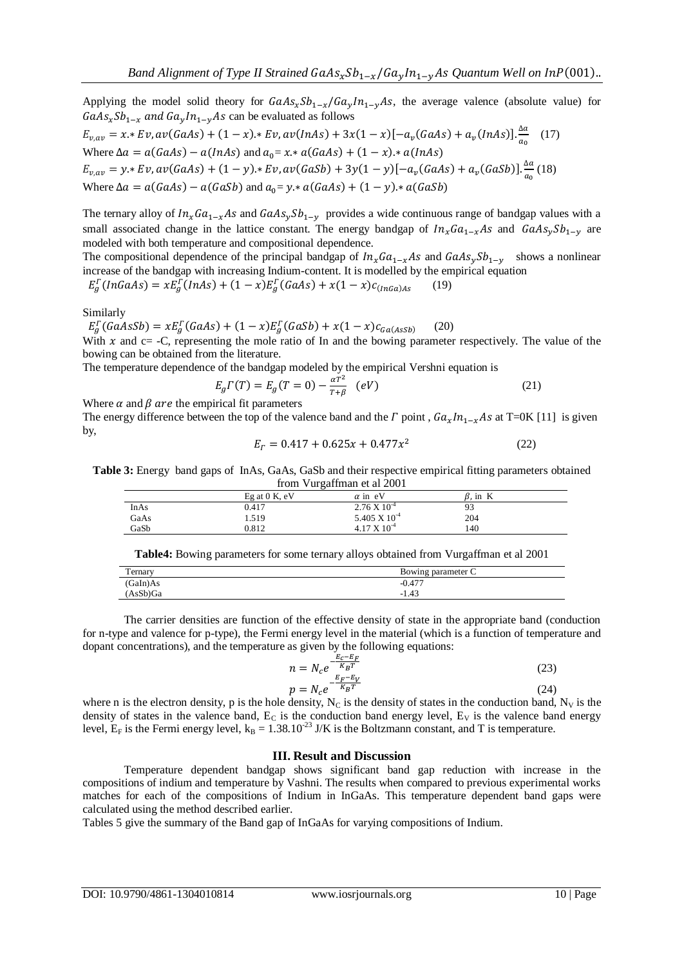Applying the model solid theory for  $GaAs_xSb_{1-x}/Ga_vIn_{1-y}As$ , the average valence (absolute value) for  $GaAs_xSb_{1-x}$  and  $Ga_yIn_{1-y}As$  can be evaluated as follows  $E_{v,av} = x * Ev, av(GaAs) + (1 - x) * Ev, av(InAs) + 3x(1 - x)[-a_v(GaAs) + a_v(InAs)] \frac{\Delta}{a}$  $rac{a_0}{a_0}$  (17) Where  $\Delta a = a(GaAs) - a(InAs)$  and  $a_0 = x * a(GaAs) + (1 - x) * a(InAs)$  $E_{v,av} = y * Ev, av(GaAs) + (1 - y) * Ev, av(GaSb) + 3y(1 - y)[-a_v(GaAs) + a_v(GaSb)] \frac{\Delta}{a}$  $\frac{du}{a_0}$  (18) Where  $\Delta a = a(GaAs) - a(GaSb)$  and  $a_0 = y \cdot a(GaAs) + (1 - y) \cdot a(GaSb)$ 

The ternary alloy of  $In_xGa_{1-x}As$  and  $GaAs_ySb_{1-y}$  provides a wide continuous range of bandgap values with a small associated change in the lattice constant. The energy bandgap of  $In_xGa_{1-x}As$  and  $GaAs_ySb_{1-y}$  are modeled with both temperature and compositional dependence.

The compositional dependence of the principal bandgap of  $In_xGa_{1-x}As$  and  $GaAs_ySb_{1-y}$  shows a nonlinear increase of the bandgap with increasing Indium-content. It is modelled by the empirical equation

 $\int_{a}^{L} (InGaAs) = xE_{a}^{L}(InAs) + (1-x)E_{a}^{L}(GaAs) + x(1-x)c_{(InGa)As}$  (19)

Similarly

 $_{a}^{F}(GaAsSb) = xE_{a}^{F}(GaAs) + (1 - x)E_{a}^{F}$  (20) With  $x$  and  $c=$  -C, representing the mole ratio of In and the bowing parameter respectively. The value of the

bowing can be obtained from the literature. The temperature dependence of the bandgap modeled by the empirical Vershni equation is

$$
E_g \Gamma(T) = E_g(T = 0) - \frac{\alpha T^2}{T + \beta} \quad (eV)
$$
 (21)

Where  $\alpha$  and  $\beta$  are the empirical fit parameters

The energy difference between the top of the valence band and the  $\Gamma$  point,  $Ga_x In_{1-x} As$  at T=0K [11] is given by,

$$
E_{\Gamma} = 0.417 + 0.625x + 0.477x^2 \tag{22}
$$

**Table 3:** Energy band gaps of InAs, GaAs, GaSb and their respective empirical fitting parameters obtained from Vurgaffman et al 2001

|      | Eg at $0$ K, eV | $\alpha$ in eV        | $\beta$ , in K |  |
|------|-----------------|-----------------------|----------------|--|
| InAs | 0.417           | $2.76 \times 10^{-4}$ | 93             |  |
| GaAs | 1.519           | 5.405 X $10^{-4}$     | 204            |  |
| GaSb | 0.812           | $4.17 \times 10^{-4}$ | 140            |  |

**Table4:** Bowing parameters for some ternary alloys obtained from Vurgaffman et al 2001

| remary   | Bowing parameter C |
|----------|--------------------|
| (GaIn)As | $-0.477$           |
| (AsSb)Ga | 1.43<br>- 1        |

The carrier densities are function of the effective density of state in the appropriate band (conduction for n-type and valence for p-type), the Fermi energy level in the material (which is a function of temperature and dopant concentrations), and the temperature as given by the following equations:

$$
n = N_c e^{-\frac{E_c - E_F}{K_B T}}
$$
  
\n
$$
p = N_c e^{-\frac{E_F - E_V}{K_B T}}
$$
\n(23)

where n is the electron density, p is the hole density,  $N_c$  is the density of states in the conduction band,  $N_v$  is the density of states in the valence band,  $E_C$  is the conduction band energy level,  $E_V$  is the valence band energy level,  $E_F$  is the Fermi energy level,  $k_B = 1.38.10^{-23}$  J/K is the Boltzmann constant, and T is temperature.

#### **III. Result and Discussion**

Temperature dependent bandgap shows significant band gap reduction with increase in the compositions of indium and temperature by Vashni. The results when compared to previous experimental works matches for each of the compositions of Indium in InGaAs. This temperature dependent band gaps were calculated using the method described earlier.

Tables 5 give the summary of the Band gap of InGaAs for varying compositions of Indium.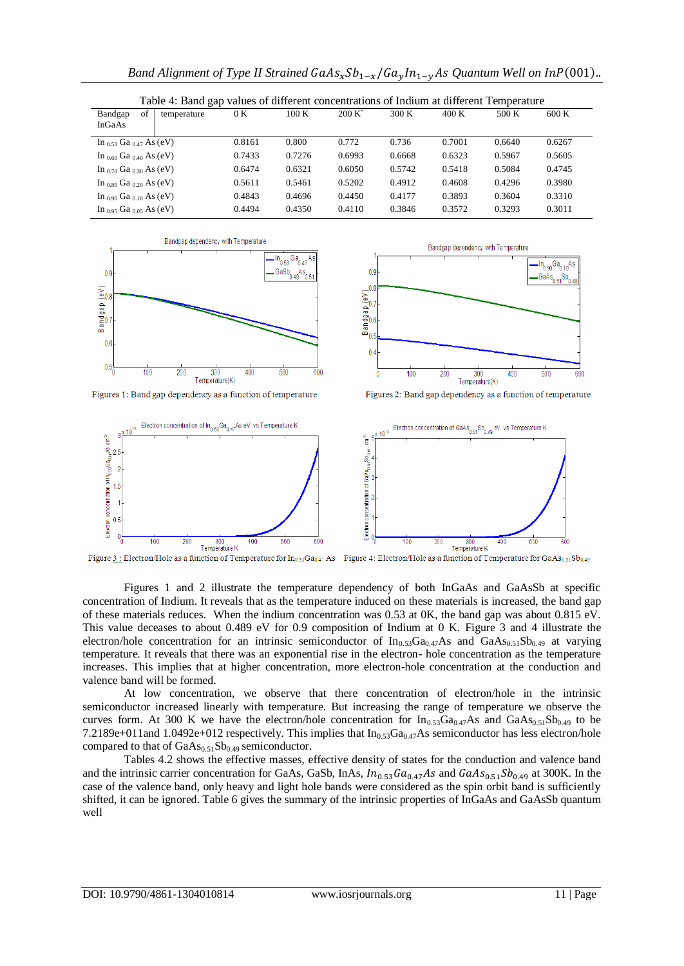| Table 4: Band gap values of different concentrations of Indium at different Temperature |        |        |        |        |        |        |        |
|-----------------------------------------------------------------------------------------|--------|--------|--------|--------|--------|--------|--------|
| of<br>Bandgap<br>temperature<br>InGaAs                                                  | 0 K    | 100K   | 200 K  | 300K   | 400K   | 500 K  | 600K   |
| In $_{0.53}$ Ga $_{0.47}$ As (eV)                                                       | 0.8161 | 0.800  | 0.772  | 0.736  | 0.7001 | 0.6640 | 0.6267 |
| In $_{0.60}$ Ga $_{0.40}$ As (eV)                                                       | 0.7433 | 0.7276 | 0.6993 | 0.6668 | 0.6323 | 0.5967 | 0.5605 |
| In $_{0.70}$ Ga $_{0.30}$ As (eV)                                                       | 0.6474 | 0.6321 | 0.6050 | 0.5742 | 0.5418 | 0.5084 | 0.4745 |
| In $_{0.80}$ Ga $_{0.20}$ As (eV)                                                       | 0.5611 | 0.5461 | 0.5202 | 0.4912 | 0.4608 | 0.4296 | 0.3980 |
| In $_{0.90}$ Ga $_{0.10}$ As (eV)                                                       | 0.4843 | 0.4696 | 0.4450 | 0.4177 | 0.3893 | 0.3604 | 0.3310 |
| In 0.95 Ga 0.05 As (eV)                                                                 | 0.4494 | 0.4350 | 0.4110 | 0.3846 | 0.3572 | 0.3293 | 0.3011 |





Figures 1: Band gap dependency as a function of temperature

Figures 2: Band gap dependency as a function of temperature



Figure 3.: Electron/Hole as a function of Temperature for In<sub>0.53</sub>Ga<sub>0.47</sub> As Figure 4: Electron/Hole as a function of Temperature for GaAs<sub>0.51</sub>Sb<sub>0.49</sub>

Figures 1 and 2 illustrate the temperature dependency of both InGaAs and GaAsSb at specific concentration of Indium. It reveals that as the temperature induced on these materials is increased, the band gap of these materials reduces. When the indium concentration was 0.53 at 0K, the band gap was about 0.815 eV. This value deceases to about 0.489 eV for 0.9 composition of Indium at 0 K. Figure 3 and 4 illustrate the electron/hole concentration for an intrinsic semiconductor of  $In_{0.53}Ga_{0.47}As$  and  $GaAs_{0.51}Sb_{0.49}$  at varying temperature. It reveals that there was an exponential rise in the electron- hole concentration as the temperature increases. This implies that at higher concentration, more electron-hole concentration at the conduction and valence band will be formed.

At low concentration, we observe that there concentration of electron/hole in the intrinsic semiconductor increased linearly with temperature. But increasing the range of temperature we observe the curves form. At 300 K we have the electron/hole concentration for  $In_{0.53}Ga_{0.47}As$  and  $GaAs_{0.51}Sb_{0.49}$  to be 7.2189e+011and 1.0492e+012 respectively. This implies that  $In<sub>0.53</sub>Ga<sub>0.47</sub>As semiconductor has less electron/hole$ compared to that of  $GaAs<sub>0.51</sub>Sb<sub>0.49</sub>$  semiconductor.

Tables 4.2 shows the effective masses, effective density of states for the conduction and valence band and the intrinsic carrier concentration for GaAs, GaSb, InAs,  $In_{0.53}Ga_{0.47}As$  and  $GaAs_{0.51}Sb_{0.49}$  at 300K. In the case of the valence band, only heavy and light hole bands were considered as the spin orbit band is sufficiently shifted, it can be ignored. Table 6 gives the summary of the intrinsic properties of InGaAs and GaAsSb quantum well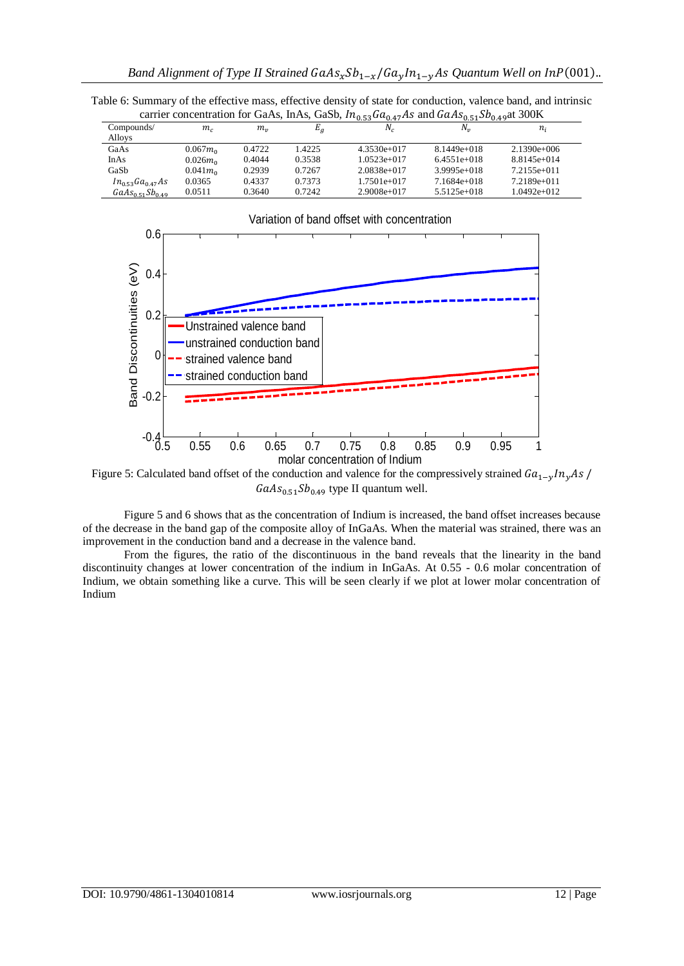Table 6: Summary of the effective mass, effective density of state for conduction, valence band, and intrinsic<br>carrier concentration for GaAs. In As, GaSb,  $In_{\geq 25}Ga_{\geq 25}Ga_{\geq 25}Ga_{\geq 25}Ba_{\geq 25}$ carrier concentration for GaAs, InAs, GaSb,  $In_{\alpha}$   $\epsilon_0$   $Ga$  and  $GaAs$ <sub> $\epsilon_1$ </sub> $Sh$ 

| carrier concentration for Garys, Inf is, Gabo, 11g 530ug 47115 and Garling 510pg 49at 5001x |             |           |        |               |               |               |
|---------------------------------------------------------------------------------------------|-------------|-----------|--------|---------------|---------------|---------------|
| Compounds/                                                                                  | $m_c$       | $m_{\nu}$ | $E_g$  | $N_c$         | N.,           | $n_{i}$       |
| Alloys                                                                                      |             |           |        |               |               |               |
| GaAs                                                                                        | $0.067m_0$  | 0.4722    | 1.4225 | $4.3530e+017$ | $8.1449e+018$ | $2.1390e+006$ |
| InAs                                                                                        | $0.026m_0$  | 0.4044    | 0.3538 | $1.0523e+017$ | $6.4551e+018$ | $8.8145e+014$ |
| GaSb                                                                                        | $0.041 m_0$ | 0.2939    | 0.7267 | $2.0838e+017$ | $3.9995e+018$ | $7.2155e+011$ |
| $In_{0.53}Ga_{0.47}As$                                                                      | 0.0365      | 0.4337    | 0.7373 | $1.7501e+017$ | 7.1684e+018   | $7.2189e+011$ |
| $GaAs_{0.51}Sb_{0.49}$                                                                      | 0.0511      | 0.3640    | 0.7242 | $2.9008e+017$ | $5.5125e+018$ | $1.0492e+012$ |



Figure 5: Calculated band offset of the conduction and valence for the compressively strained  $Ga_{1-v}/n_vAs$  $GaAs_{0.51}Sb_{0.49}$  type II quantum well.

Figure 5 and 6 shows that as the concentration of Indium is increased, the band offset increases because of the decrease in the band gap of the composite alloy of InGaAs. When the material was strained, there was an improvement in the conduction band and a decrease in the valence band.

From the figures, the ratio of the discontinuous in the band reveals that the linearity in the band discontinuity changes at lower concentration of the indium in InGaAs. At 0.55 - 0.6 molar concentration of Indium, we obtain something like a curve. This will be seen clearly if we plot at lower molar concentration of Indium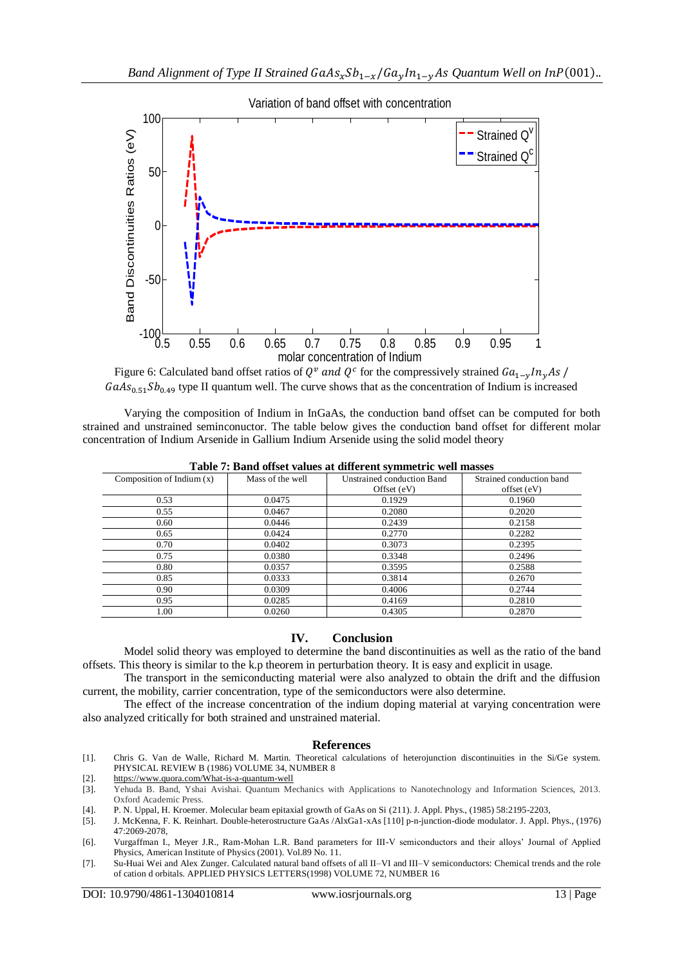

Figure 6: Calculated band offset ratios of  $Q^v$  and  $Q^c$  for the compressively strained  $GaAs_{0.51}Sb_{0.49}$  type II quantum well. The curve shows that as the concentration of Indium is increased

Varying the composition of Indium in InGaAs, the conduction band offset can be computed for both strained and unstrained seminconuctor. The table below gives the conduction band offset for different molar concentration of Indium Arsenide in Gallium Indium Arsenide using the solid model theory

| Composition of Indium $(x)$ | Mass of the well | $-1$ $-$<br>Unstrained conduction Band | Strained conduction band |
|-----------------------------|------------------|----------------------------------------|--------------------------|
|                             |                  | Offset $(eV)$                          | offset (eV)              |
| 0.53                        | 0.0475           | 0.1929                                 | 0.1960                   |
| 0.55                        | 0.0467           | 0.2080                                 | 0.2020                   |
| 0.60                        | 0.0446           | 0.2439                                 | 0.2158                   |
| 0.65                        | 0.0424           | 0.2770                                 | 0.2282                   |
| 0.70                        | 0.0402           | 0.3073                                 | 0.2395                   |
| 0.75                        | 0.0380           | 0.3348                                 | 0.2496                   |
| 0.80                        | 0.0357           | 0.3595                                 | 0.2588                   |
| 0.85                        | 0.0333           | 0.3814                                 | 0.2670                   |
| 0.90                        | 0.0309           | 0.4006                                 | 0.2744                   |
| 0.95                        | 0.0285           | 0.4169                                 | 0.2810                   |
| 1.00                        | 0.0260           | 0.4305                                 | 0.2870                   |

**Table 7: Band offset values at different symmetric well masses**

## **IV. Conclusion**

Model solid theory was employed to determine the band discontinuities as well as the ratio of the band offsets. This theory is similar to the k.p theorem in perturbation theory. It is easy and explicit in usage.

The transport in the semiconducting material were also analyzed to obtain the drift and the diffusion current, the mobility, carrier concentration, type of the semiconductors were also determine.

The effect of the increase concentration of the indium doping material at varying concentration were also analyzed critically for both strained and unstrained material.

#### **References**

[1]. Chris G. Van de Walle, Richard M. Martin. Theoretical calculations of heterojunction discontinuities in the Si/Ge system. PHYSICAL REVIEW B (1986) VOLUME 34, NUMBER 8

[2]. <https://www.quora.com/What-is-a-quantum-well>

- [3]. Yehuda B. Band, Yshai Avishai. Quantum Mechanics with Applications to Nanotechnology and Information Sciences, 2013. Oxford Academic Press.
- [4]. P. N. Uppal, H. Kroemer. Molecular beam epitaxial growth of GaAs on Si (211). J. Appl. Phys., (1985) 58:2195-2203,
- [5]. J. McKenna, F. K. Reinhart. Double-heterostructure GaAs /AlxGa1-xAs [110] p-n-junction-diode modulator. J. Appl. Phys., (1976) 47:2069-2078,

[6]. Vurgaffman I., Meyer J.R., Ram-Mohan L.R. Band parameters for III-V semiconductors and their alloys' Journal of Applied Physics, American Institute of Physics (2001). Vol.89 No. 11.

[7]. Su-Huai Wei and Alex Zunger. Calculated natural band offsets of all II–VI and III–V semiconductors: Chemical trends and the role of cation d orbitals. APPLIED PHYSICS LETTERS(1998) VOLUME 72, NUMBER 16